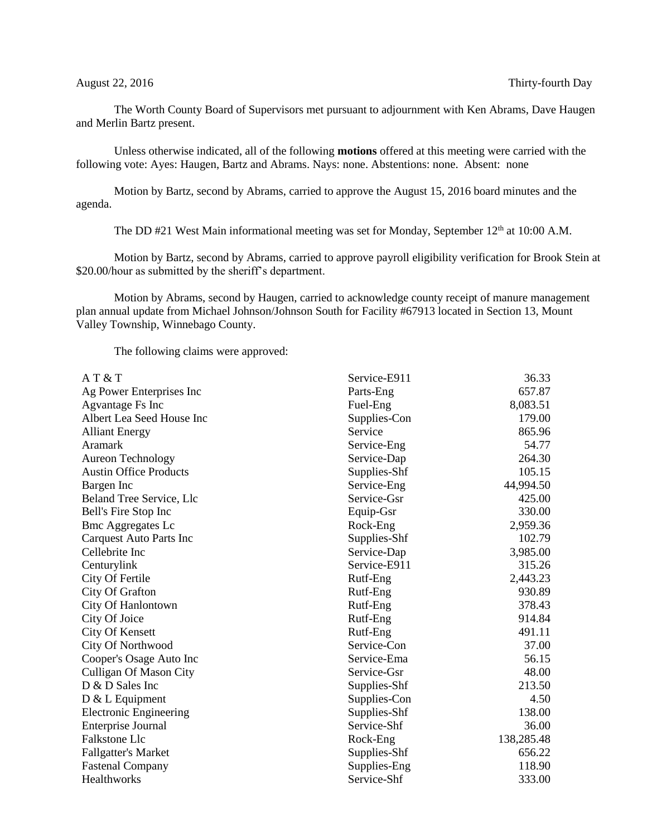The Worth County Board of Supervisors met pursuant to adjournment with Ken Abrams, Dave Haugen and Merlin Bartz present.

Unless otherwise indicated, all of the following **motions** offered at this meeting were carried with the following vote: Ayes: Haugen, Bartz and Abrams. Nays: none. Abstentions: none. Absent: none

Motion by Bartz, second by Abrams, carried to approve the August 15, 2016 board minutes and the agenda.

The DD #21 West Main informational meeting was set for Monday, September 12<sup>th</sup> at 10:00 A.M.

Motion by Bartz, second by Abrams, carried to approve payroll eligibility verification for Brook Stein at \$20.00/hour as submitted by the sheriff's department.

Motion by Abrams, second by Haugen, carried to acknowledge county receipt of manure management plan annual update from Michael Johnson/Johnson South for Facility #67913 located in Section 13, Mount Valley Township, Winnebago County.

The following claims were approved:

| A T & T                        | Service-E911 | 36.33      |
|--------------------------------|--------------|------------|
| Ag Power Enterprises Inc       | Parts-Eng    | 657.87     |
| Agvantage Fs Inc               | Fuel-Eng     | 8,083.51   |
| Albert Lea Seed House Inc      | Supplies-Con | 179.00     |
| <b>Alliant Energy</b>          | Service      | 865.96     |
| Aramark                        | Service-Eng  | 54.77      |
| <b>Aureon Technology</b>       | Service-Dap  | 264.30     |
| <b>Austin Office Products</b>  | Supplies-Shf | 105.15     |
| Bargen Inc                     | Service-Eng  | 44,994.50  |
| Beland Tree Service, Llc       | Service-Gsr  | 425.00     |
| Bell's Fire Stop Inc           | Equip-Gsr    | 330.00     |
| <b>Bmc Aggregates Lc</b>       | Rock-Eng     | 2,959.36   |
| <b>Carquest Auto Parts Inc</b> | Supplies-Shf | 102.79     |
| Cellebrite Inc                 | Service-Dap  | 3,985.00   |
| Centurylink                    | Service-E911 | 315.26     |
| City Of Fertile                | Rutf-Eng     | 2,443.23   |
| City Of Grafton                | Rutf-Eng     | 930.89     |
| City Of Hanlontown             | Rutf-Eng     | 378.43     |
| City Of Joice                  | Rutf-Eng     | 914.84     |
| <b>City Of Kensett</b>         | Rutf-Eng     | 491.11     |
| City Of Northwood              | Service-Con  | 37.00      |
| Cooper's Osage Auto Inc        | Service-Ema  | 56.15      |
| Culligan Of Mason City         | Service-Gsr  | 48.00      |
| D & D Sales Inc                | Supplies-Shf | 213.50     |
| $D & L$ Equipment              | Supplies-Con | 4.50       |
| <b>Electronic Engineering</b>  | Supplies-Shf | 138.00     |
| Enterprise Journal             | Service-Shf  | 36.00      |
| Falkstone Llc                  | Rock-Eng     | 138,285.48 |
| <b>Fallgatter's Market</b>     | Supplies-Shf | 656.22     |
| <b>Fastenal Company</b>        | Supplies-Eng | 118.90     |
| Healthworks                    | Service-Shf  | 333.00     |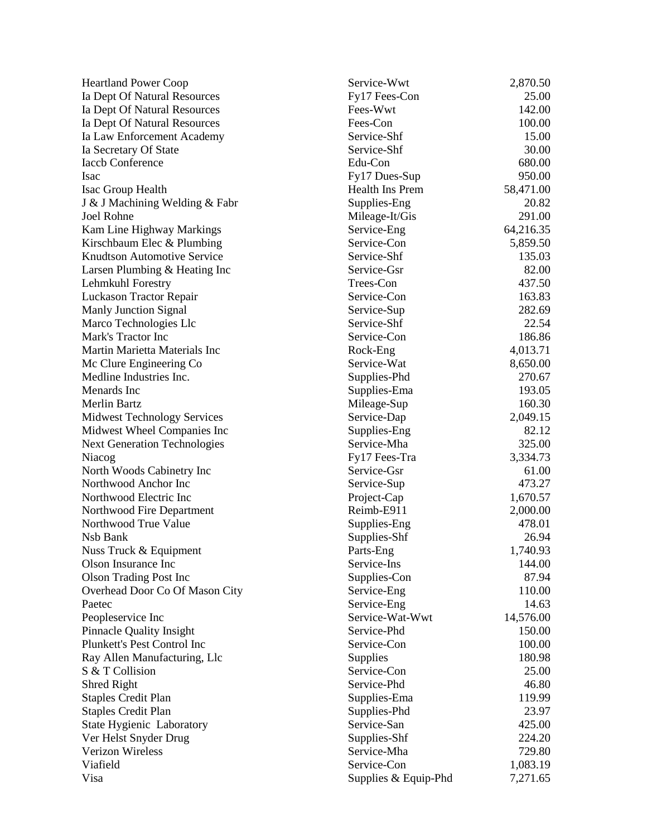| <b>Heartland Power Coop</b>         | Service-Wwt          | 2,870.50  |
|-------------------------------------|----------------------|-----------|
| Ia Dept Of Natural Resources        | Fy17 Fees-Con        | 25.00     |
| Ia Dept Of Natural Resources        | Fees-Wwt             | 142.00    |
| Ia Dept Of Natural Resources        | Fees-Con             | 100.00    |
| Ia Law Enforcement Academy          | Service-Shf          | 15.00     |
| Ia Secretary Of State               | Service-Shf          | 30.00     |
| <b>Iaccb Conference</b>             | Edu-Con              | 680.00    |
| Isac                                | Fy17 Dues-Sup        | 950.00    |
| Isac Group Health                   | Health Ins Prem      | 58,471.00 |
| J & J Machining Welding & Fabr      | Supplies-Eng         | 20.82     |
| Joel Rohne                          | Mileage-It/Gis       | 291.00    |
| Kam Line Highway Markings           | Service-Eng          | 64,216.35 |
| Kirschbaum Elec & Plumbing          | Service-Con          | 5,859.50  |
| <b>Knudtson Automotive Service</b>  | Service-Shf          | 135.03    |
| Larsen Plumbing & Heating Inc       | Service-Gsr          | 82.00     |
| Lehmkuhl Forestry                   | Trees-Con            | 437.50    |
| Luckason Tractor Repair             | Service-Con          | 163.83    |
| <b>Manly Junction Signal</b>        | Service-Sup          | 282.69    |
| Marco Technologies Llc              | Service-Shf          | 22.54     |
| Mark's Tractor Inc                  | Service-Con          | 186.86    |
| Martin Marietta Materials Inc       | Rock-Eng             | 4,013.71  |
| Mc Clure Engineering Co             | Service-Wat          | 8,650.00  |
| Medline Industries Inc.             | Supplies-Phd         | 270.67    |
| Menards Inc                         | Supplies-Ema         | 193.05    |
| Merlin Bartz                        | Mileage-Sup          | 160.30    |
| <b>Midwest Technology Services</b>  | Service-Dap          | 2,049.15  |
| Midwest Wheel Companies Inc         | Supplies-Eng         | 82.12     |
| <b>Next Generation Technologies</b> | Service-Mha          | 325.00    |
| Niacog                              | Fy17 Fees-Tra        | 3,334.73  |
| North Woods Cabinetry Inc           | Service-Gsr          | 61.00     |
| Northwood Anchor Inc                | Service-Sup          | 473.27    |
| Northwood Electric Inc              | Project-Cap          | 1,670.57  |
| Northwood Fire Department           | Reimb-E911           | 2,000.00  |
| Northwood True Value                | Supplies-Eng         | 478.01    |
| Nsb Bank                            | Supplies-Shf         | 26.94     |
| Nuss Truck & Equipment              | Parts-Eng            | 1,740.93  |
| Olson Insurance Inc                 | Service-Ins          | 144.00    |
| <b>Olson Trading Post Inc</b>       | Supplies-Con         | 87.94     |
| Overhead Door Co Of Mason City      | Service-Eng          | 110.00    |
| Paetec                              | Service-Eng          | 14.63     |
| Peopleservice Inc                   | Service-Wat-Wwt      | 14,576.00 |
| <b>Pinnacle Quality Insight</b>     | Service-Phd          | 150.00    |
| Plunkett's Pest Control Inc         | Service-Con          | 100.00    |
| Ray Allen Manufacturing, Llc        | Supplies             | 180.98    |
| S & T Collision                     | Service-Con          | 25.00     |
| <b>Shred Right</b>                  | Service-Phd          | 46.80     |
| <b>Staples Credit Plan</b>          | Supplies-Ema         | 119.99    |
| <b>Staples Credit Plan</b>          | Supplies-Phd         | 23.97     |
| State Hygienic Laboratory           | Service-San          | 425.00    |
| Ver Helst Snyder Drug               | Supplies-Shf         | 224.20    |
| Verizon Wireless                    | Service-Mha          | 729.80    |
| Viafield                            | Service-Con          | 1,083.19  |
| Visa                                | Supplies & Equip-Phd | 7,271.65  |
|                                     |                      |           |